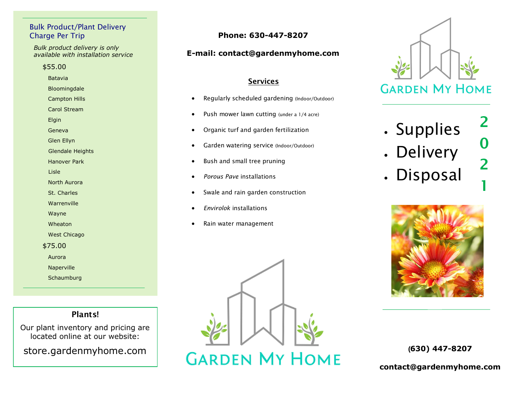## Bulk Product/Plant Delivery Charge Per Trip **Phone: 630-447-8207**

*Bulk product delivery is only available with installation service*

#### \$55.00

 Batavia Bloomingdale Campton Hills Carol Stream Elgin Geneva Glen Ellyn Glendale Heights Hanover Park Lisle North Aurora St. Charles Warrenville Wayne Wheaton West Chicago \$75.00 Aurora Naperville **Schaumburg** 

# **Plants!**

Our plant inventory and pricing are located online at our website:

store.gardenmyhome.com

# **E-mail: contact@gardenmyhome.com**

### **Services**

- Regularly scheduled gardening (Indoor/Outdoor)
- Push mower lawn cutting (under a 1/4 acre)
- Organic turf and garden fertilization
- Garden watering service (Indoor/Outdoor)
- Bush and small tree pruning
- *Porous Pave* installations
- Swale and rain garden construction
- *Envirolok* installations
- Rain water management



. Supplies

**2**

**0**

**2**

**1**

- Delivery
- Disposal



(**630) 447-8207**

**contact@gardenmyhome.com**